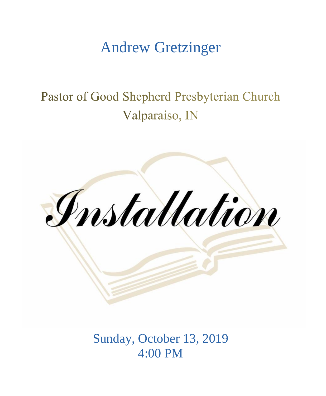# Andrew Gretzinger

# Pastor of Good Shepherd Presbyterian Church Valparaiso, IN



Sunday, October 13, 2019 4:00 PM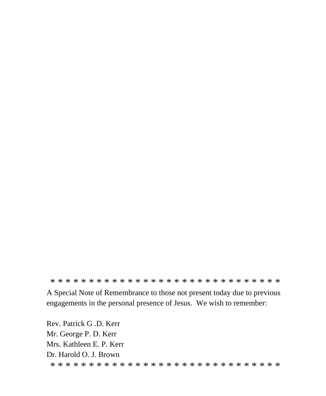\* \* \* \* \* \* \* \* \* \* \* \* \* \* \* \* \* \* \* \* \* \* \* \* \* \* \* \* \* \* A Special Note of Remembrance to those not present today due to previous engagements in the personal presence of Jesus. We wish to remember:

Rev. Patrick G .D. Kerr Mr. George P. D. Kerr Mrs. Kathleen E. P. Kerr Dr. Harold O. J. Brown \* \* \* \* \* \* \* \* \* \* \* \* \* \* \* \* \* \* \* \* \* \* \* \* \* \* \* \* \* \*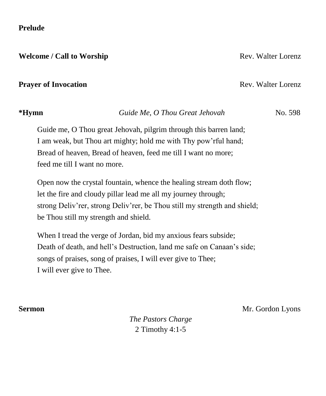### **Prelude**

**Welcome / Call to Worship**  Rev. Walter Lorenz

### **Prayer of Invocation Rev. Walter Lorenz Rev. Walter Lorenz**

## **\*Hymn** *Guide Me, O Thou Great Jehovah* No. 598

Guide me, O Thou great Jehovah, pilgrim through this barren land; I am weak, but Thou art mighty; hold me with Thy pow'rful hand; Bread of heaven, Bread of heaven, feed me till I want no more; feed me till I want no more.

Open now the crystal fountain, whence the healing stream doth flow; let the fire and cloudy pillar lead me all my journey through; strong Deliv'rer, strong Deliv'rer, be Thou still my strength and shield; be Thou still my strength and shield.

When I tread the verge of Jordan, bid my anxious fears subside; Death of death, and hell's Destruction, land me safe on Canaan's side; songs of praises, song of praises, I will ever give to Thee; I will ever give to Thee.

**Sermon** Mr. Gordon Lyons

*The Pastors Charge* 2 Timothy 4:1-5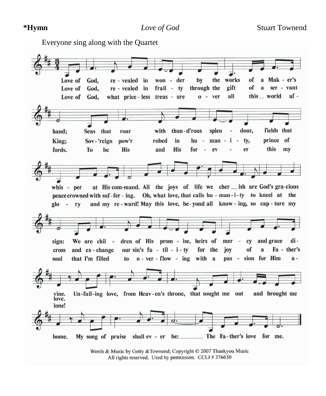Everyone sing along with the QuartetLove of God. re - vealed in won der by the works of a Mak - er's gift of  $\mathbf{a}$ ser - vant Love of re - vealed in frail ty through the God, what price - less treas - ure  $0 - ver$ all this world  $af -$ Love of God. thun-d'rous dour, fields that hand; Seas that roar with splen  $\overline{a}$ prince of King: Sov-'reign pow'r robed in  $hu$  $man - i$  $\bar{a}$ ty, this fords. To be **His** and **His** for  $\sim$ ev er my at His com-mand. All the joys of life we cher \_\_ ish are God's gra-cious whis - per Oh, what love, that calls hu - man-i-ty to kneel at the peace crowned with suf-fer-ing. and my re-ward! May this love, be-yond all know-ing, so cap-ture my  $g|_{0}$  rv dren of His prom - ise, heirs of mer and grace disign: We are chil - $\sim$ cy of and ex-change our sin's  $fu - til - i - ty$ for the jov a Fa - ther's cross  $o$  - ver - flow - ing with a soul that I'm filled to pas sion for Him  $a$ vine. Un-fail-ing love, from Heav-en's throne, that sought me out and brought me love. lone! My song of praise shall ev - er be: The Fa-ther's love for me. home.

Words & Music by Getty & Townend; Copyright © 2007 Thankyou Music All rights reserved. Used by permission. CCLI #376630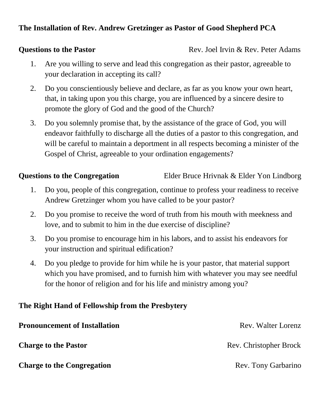## **The Installation of Rev. Andrew Gretzinger as Pastor of Good Shepherd PCA**

**Questions to the Pastor Rev. Joel Irvin & Rev. Peter Adams** 

- 1. Are you willing to serve and lead this congregation as their pastor, agreeable to your declaration in accepting its call?
- 2. Do you conscientiously believe and declare, as far as you know your own heart, that, in taking upon you this charge, you are influenced by a sincere desire to promote the glory of God and the good of the Church?
- 3. Do you solemnly promise that, by the assistance of the grace of God, you will endeavor faithfully to discharge all the duties of a pastor to this congregation, and will be careful to maintain a deportment in all respects becoming a minister of the Gospel of Christ, agreeable to your ordination engagements?

**Questions to the Congregation** Elder Bruce Hrivnak & Elder Yon Lindborg

- 1. Do you, people of this congregation, continue to profess your readiness to receive Andrew Gretzinger whom you have called to be your pastor?
- 2. Do you promise to receive the word of truth from his mouth with meekness and love, and to submit to him in the due exercise of discipline?
- 3. Do you promise to encourage him in his labors, and to assist his endeavors for your instruction and spiritual edification?
- 4. Do you pledge to provide for him while he is your pastor, that material support which you have promised, and to furnish him with whatever you may see needful for the honor of religion and for his life and ministry among you?

## **The Right Hand of Fellowship from the Presbytery**

| <b>Pronouncement of Installation</b> | Rev. Walter Lorenz     |
|--------------------------------------|------------------------|
| <b>Charge to the Pastor</b>          | Rev. Christopher Brock |
| <b>Charge to the Congregation</b>    | Rev. Tony Garbarino    |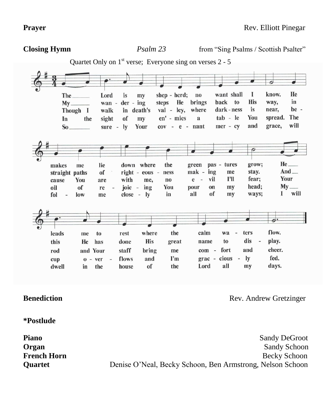**Closing Hymn** *Psalm 23* from "Sing Psalms / Scottish Psalter" Quartet Only on  $1<sup>st</sup>$  verse; Everyone sing on verses  $2 - 5$  $\overline{\mathcal{O}}$ Lord shep - herd;  $no$ want shall  $\mathbf I$ know. He The\_ is  $m<sub>v</sub>$ **His** steps He brings back to way, in Mv wan  $$  $der - ing$ where dark - ness is near, be -Though I walk in death's val - lev.  $tab - le$ You spread. The In the sight of  $m**v**$ en' - mies a mer - cv and grace. will  $So$ sure -  $\mathbf{I} \mathbf{v}$ Your  $cov - e - nant$  $\overline{\mathcal{O}}$ 20  $He$ <sub> $-$ </sub> the green pas - tures grow; makes me lie down where  $And$  $mak - ing$ stay. straight paths of right - eous ness me vil I'll fear; **Your** cause **You** are with me. no  $e$ head:  $My$ <sub>—</sub> oil of joic  $$ ing You pour on  $m$ v re  $\mathbf{I}$ will fol  $low$ close - ly in all of  $m<sub>V</sub>$ ways; me  $\overline{\mathcal{L}}$ where the flow. leads rest calm wa  $\omega$ ters me to dis play. **His**  $\mathbf{t}$ this **He** has done great name cheer. staff bring com fort and rod and Your me fed.  $0 - ver$ flows and  $I'm$  $\text{grac}$  cious  $\frac{1}{2}$  $\mathbf{I}\mathbf{v}$ cup house of the Lord all my days. dwell in the

**Benediction Rev. Andrew Gretzinger** 

**\*Postlude** 

**Piano** Sandy DeGroot **Organ** Sandy Schoon **French Horn Becky Schoon Quartet Denise O'Neal, Becky Schoon, Ben Armstrong, Nelson Schoon**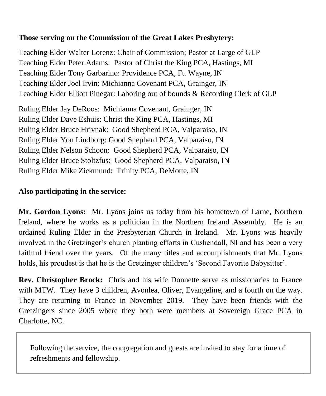## **Those serving on the Commission of the Great Lakes Presbytery:**

Teaching Elder Walter Lorenz: Chair of Commission; Pastor at Large of GLP Teaching Elder Peter Adams: Pastor of Christ the King PCA, Hastings, MI Teaching Elder Tony Garbarino: Providence PCA, Ft. Wayne, IN Teaching Elder Joel Irvin: Michianna Covenant PCA, Grainger, IN Teaching Elder Elliott Pinegar: Laboring out of bounds & Recording Clerk of GLP

Ruling Elder Jay DeRoos: Michianna Covenant, Grainger, IN Ruling Elder Dave Eshuis: Christ the King PCA, Hastings, MI Ruling Elder Bruce Hrivnak: Good Shepherd PCA, Valparaiso, IN Ruling Elder Yon Lindborg: Good Shepherd PCA, Valparaiso, IN Ruling Elder Nelson Schoon: Good Shepherd PCA, Valparaiso, IN Ruling Elder Bruce Stoltzfus: Good Shepherd PCA, Valparaiso, IN Ruling Elder Mike Zickmund: Trinity PCA, DeMotte, IN

## **Also participating in the service:**

**Mr. Gordon Lyons:** Mr. Lyons joins us today from his hometown of Larne, Northern Ireland, where he works as a politician in the Northern Ireland Assembly. He is an ordained Ruling Elder in the Presbyterian Church in Ireland. Mr. Lyons was heavily involved in the Gretzinger's church planting efforts in Cushendall, NI and has been a very faithful friend over the years. Of the many titles and accomplishments that Mr. Lyons holds, his proudest is that he is the Gretzinger children's 'Second Favorite Babysitter'.

**Rev. Christopher Brock:** Chris and his wife Donnette serve as missionaries to France with MTW. They have 3 children, Avonlea, Oliver, Evangeline, and a fourth on the way. They are returning to France in November 2019. They have been friends with the Gretzingers since 2005 where they both were members at Sovereign Grace PCA in Charlotte, NC.

Following the service, the congregation and guests are invited to stay for a time of refreshments and fellowship.